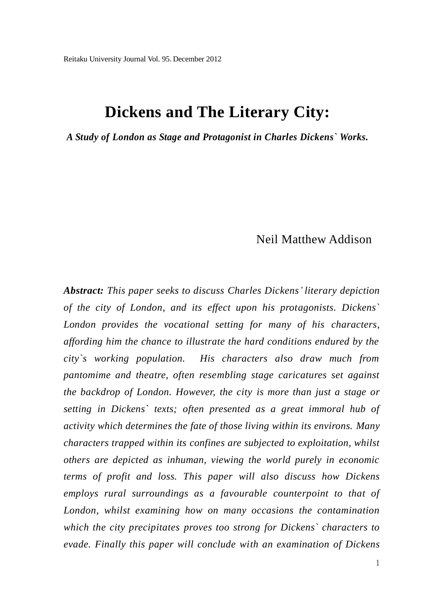# **Dickens and The Literary City:**

*A Study of London as Stage and Protagonist in Charles Dickens` Works.*

# Neil Matthew Addison

*Abstract: This paper seeks to discuss Charles Dickens' literary depiction of the city of London, and its effect upon his protagonists. Dickens` London provides the vocational setting for many of his characters, affording him the chance to illustrate the hard conditions endured by the city`s working population. His characters also draw much from pantomime and theatre, often resembling stage caricatures set against the backdrop of London. However, the city is more than just a stage or setting in Dickens` texts; often presented as a great immoral hub of activity which determines the fate of those living within its environs. Many characters trapped within its confines are subjected to exploitation, whilst others are depicted as inhuman, viewing the world purely in economic terms of profit and loss. This paper will also discuss how Dickens employs rural surroundings as a favourable counterpoint to that of London, whilst examining how on many occasions the contamination which the city precipitates proves too strong for Dickens` characters to evade. Finally this paper will conclude with an examination of Dickens*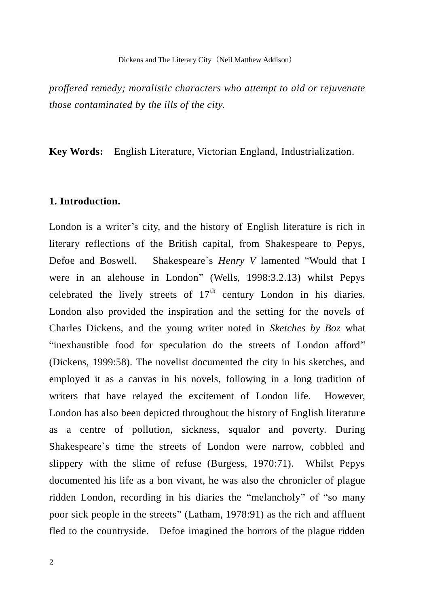*proffered remedy; moralistic characters who attempt to aid or rejuvenate those contaminated by the ills of the city.*

**Key Words:** English Literature, Victorian England, Industrialization.

## **1. Introduction.**

London is a writer's city, and the history of English literature is rich in literary reflections of the British capital, from Shakespeare to Pepys, Defoe and Boswell. Shakespeare`s *Henry V* lamented "Would that I were in an alehouse in London" (Wells, 1998:3.2.13) whilst Pepys celebrated the lively streets of  $17<sup>th</sup>$  century London in his diaries. London also provided the inspiration and the setting for the novels of Charles Dickens, and the young writer noted in *Sketches by Boz* what "inexhaustible food for speculation do the streets of London afford" (Dickens, 1999:58). The novelist documented the city in his sketches, and employed it as a canvas in his novels, following in a long tradition of writers that have relayed the excitement of London life. However, London has also been depicted throughout the history of English literature as a centre of pollution, sickness, squalor and poverty. During Shakespeare`s time the streets of London were narrow, cobbled and slippery with the slime of refuse (Burgess, 1970:71). Whilst Pepys documented his life as a bon vivant, he was also the chronicler of plague ridden London, recording in his diaries the "melancholy" of "so many poor sick people in the streets" (Latham, 1978:91) as the rich and affluent fled to the countryside. Defoe imagined the horrors of the plague ridden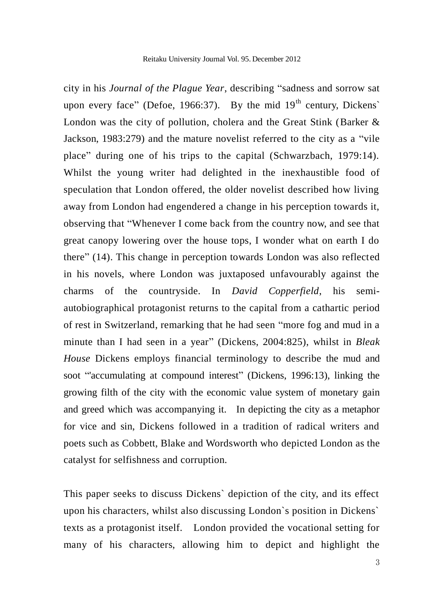city in his *Journal of the Plague Year*, describing "sadness and sorrow sat upon every face" (Defoe, 1966:37). By the mid  $19<sup>th</sup>$  century, Dickens' London was the city of pollution, cholera and the Great Stink (Barker & Jackson, 1983:279) and the mature novelist referred to the city as a "vile place" during one of his trips to the capital (Schwarzbach, 1979:14). Whilst the young writer had delighted in the inexhaustible food of speculation that London offered, the older novelist described how living away from London had engendered a change in his perception towards it, observing that "Whenever I come back from the country now, and see that great canopy lowering over the house tops, I wonder what on earth I do there" (14). This change in perception towards London was also reflected in his novels, where London was juxtaposed unfavourably against the charms of the countryside. In *David Copperfield*, his semiautobiographical protagonist returns to the capital from a cathartic period of rest in Switzerland, remarking that he had seen "more fog and mud in a minute than I had seen in a year" (Dickens, 2004:825), whilst in *Bleak House* Dickens employs financial terminology to describe the mud and soot "'accumulating at compound interest" (Dickens, 1996:13), linking the growing filth of the city with the economic value system of monetary gain and greed which was accompanying it. In depicting the city as a metaphor for vice and sin, Dickens followed in a tradition of radical writers and poets such as Cobbett, Blake and Wordsworth who depicted London as the catalyst for selfishness and corruption.

This paper seeks to discuss Dickens` depiction of the city, and its effect upon his characters, whilst also discussing London`s position in Dickens` texts as a protagonist itself. London provided the vocational setting for many of his characters, allowing him to depict and highlight the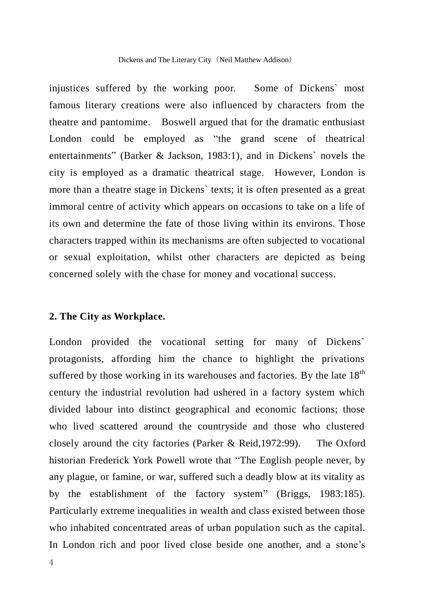injustices suffered by the working poor. Some of Dickens` most famous literary creations were also influenced by characters from the theatre and pantomime. Boswell argued that for the dramatic enthusiast London could be employed as "the grand scene of theatrical entertainments" (Barker & Jackson, 1983:1), and in Dickens` novels the city is employed as a dramatic theatrical stage. However, London is more than a theatre stage in Dickens` texts; it is often presented as a great immoral centre of activity which appears on occasions to take on a life of its own and determine the fate of those living within its environs. Those characters trapped within its mechanisms are often subjected to vocational or sexual exploitation, whilst other characters are depicted as being concerned solely with the chase for money and vocational success.

#### **2. The City as Workplace.**

London provided the vocational setting for many of Dickens` protagonists, affording him the chance to highlight the privations suffered by those working in its warehouses and factories. By the late  $18<sup>th</sup>$ century the industrial revolution had ushered in a factory system which divided labour into distinct geographical and economic factions; those who lived scattered around the countryside and those who clustered closely around the city factories (Parker & Reid,1972:99). The Oxford historian Frederick York Powell wrote that "The English people never, by any plague, or famine, or war, suffered such a deadly blow at its vitality as by the establishment of the factory system" (Briggs, 1983:185). Particularly extreme inequalities in wealth and class existed between those who inhabited concentrated areas of urban population such as the capital. In London rich and poor lived close beside one another, and a stone's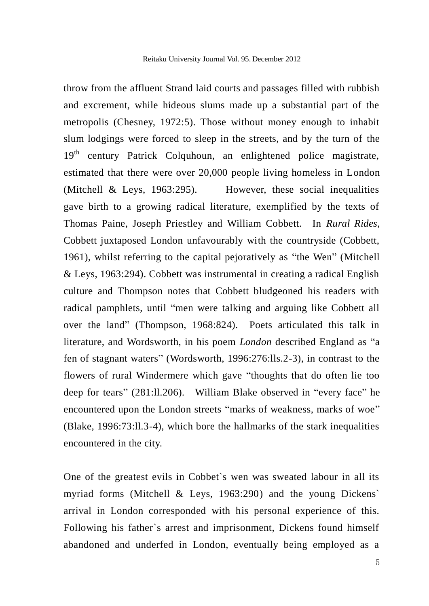throw from the affluent Strand laid courts and passages filled with rubbish and excrement, while hideous slums made up a substantial part of the metropolis (Chesney, 1972:5). Those without money enough to inhabit slum lodgings were forced to sleep in the streets, and by the turn of the 19<sup>th</sup> century Patrick Colquhoun, an enlightened police magistrate, estimated that there were over 20,000 people living homeless in London (Mitchell & Leys, 1963:295). However, these social inequalities gave birth to a growing radical literature, exemplified by the texts of Thomas Paine, Joseph Priestley and William Cobbett. In *Rural Rides*, Cobbett juxtaposed London unfavourably with the countryside (Cobbett, 1961), whilst referring to the capital pejoratively as "the Wen" (Mitchell & Leys, 1963:294). Cobbett was instrumental in creating a radical English culture and Thompson notes that Cobbett bludgeoned his readers with radical pamphlets, until "men were talking and arguing like Cobbett all over the land" (Thompson, 1968:824). Poets articulated this talk in literature, and Wordsworth, in his poem *London* described England as "a fen of stagnant waters" (Wordsworth, 1996:276:lls.2-3), in contrast to the flowers of rural Windermere which gave "thoughts that do often lie too deep for tears" (281:ll.206). William Blake observed in "every face" he encountered upon the London streets "marks of weakness, marks of woe" (Blake, 1996:73:ll.3-4), which bore the hallmarks of the stark inequalities encountered in the city.

One of the greatest evils in Cobbet`s wen was sweated labour in all its myriad forms (Mitchell & Leys, 1963:290) and the young Dickens` arrival in London corresponded with his personal experience of this. Following his father`s arrest and imprisonment, Dickens found himself abandoned and underfed in London, eventually being employed as a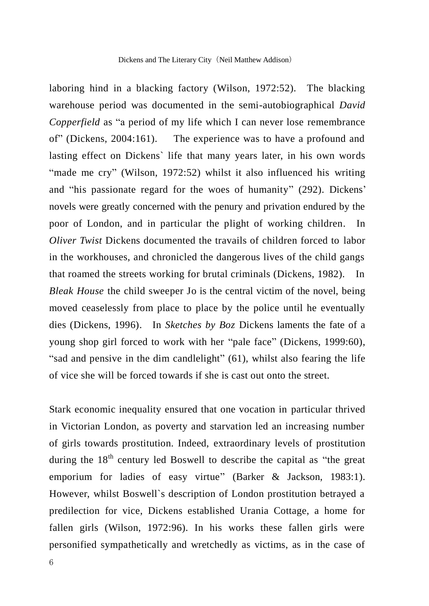laboring hind in a blacking factory (Wilson, 1972:52). The blacking warehouse period was documented in the semi-autobiographical *David Copperfield* as "a period of my life which I can never lose remembrance of" (Dickens, 2004:161). The experience was to have a profound and lasting effect on Dickens` life that many years later, in his own words "made me cry" (Wilson, 1972:52) whilst it also influenced his writing and "his passionate regard for the woes of humanity" (292). Dickens' novels were greatly concerned with the penury and privation endured by the poor of London, and in particular the plight of working children. In *Oliver Twist* Dickens documented the travails of children forced to labor in the workhouses, and chronicled the dangerous lives of the child gangs that roamed the streets working for brutal criminals (Dickens, 1982). In *Bleak House* the child sweeper Jo is the central victim of the novel, being moved ceaselessly from place to place by the police until he eventually dies (Dickens, 1996). In *Sketches by Boz* Dickens laments the fate of a young shop girl forced to work with her "pale face" (Dickens, 1999:60), "sad and pensive in the dim candlelight" (61), whilst also fearing the life of vice she will be forced towards if she is cast out onto the street.

Stark economic inequality ensured that one vocation in particular thrived in Victorian London, as poverty and starvation led an increasing number of girls towards prostitution. Indeed, extraordinary levels of prostitution during the  $18<sup>th</sup>$  century led Boswell to describe the capital as "the great emporium for ladies of easy virtue" (Barker & Jackson, 1983:1). However, whilst Boswell`s description of London prostitution betrayed a predilection for vice, Dickens established Urania Cottage, a home for fallen girls (Wilson, 1972:96). In his works these fallen girls were personified sympathetically and wretchedly as victims, as in the case of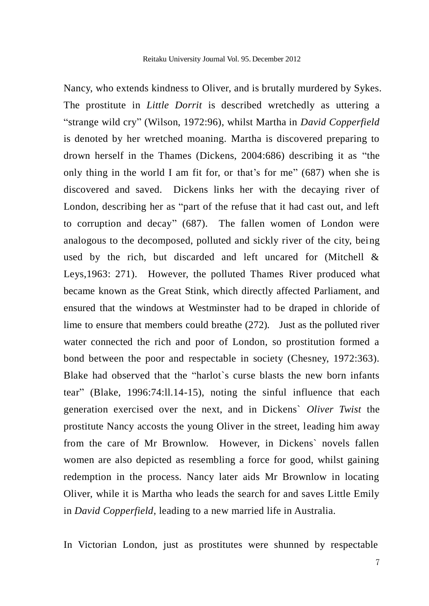Nancy, who extends kindness to Oliver, and is brutally murdered by Sykes. The prostitute in *Little Dorrit* is described wretchedly as uttering a "strange wild cry" (Wilson, 1972:96), whilst Martha in *David Copperfield* is denoted by her wretched moaning. Martha is discovered preparing to drown herself in the Thames (Dickens, 2004:686) describing it as "the only thing in the world I am fit for, or that's for me" (687) when she is discovered and saved. Dickens links her with the decaying river of London, describing her as "part of the refuse that it had cast out, and left to corruption and decay" (687). The fallen women of London were analogous to the decomposed, polluted and sickly river of the city, being used by the rich, but discarded and left uncared for (Mitchell & Leys,1963: 271). However, the polluted Thames River produced what became known as the Great Stink, which directly affected Parliament, and ensured that the windows at Westminster had to be draped in chloride of lime to ensure that members could breathe (272). Just as the polluted river water connected the rich and poor of London, so prostitution formed a bond between the poor and respectable in society (Chesney, 1972:363). Blake had observed that the "harlot`s curse blasts the new born infants tear" (Blake, 1996:74:ll.14-15), noting the sinful influence that each generation exercised over the next, and in Dickens` *Oliver Twist* the prostitute Nancy accosts the young Oliver in the street, leading him away from the care of Mr Brownlow. However, in Dickens` novels fallen women are also depicted as resembling a force for good, whilst gaining redemption in the process. Nancy later aids Mr Brownlow in locating Oliver, while it is Martha who leads the search for and saves Little Emily in *David Copperfield*, leading to a new married life in Australia.

In Victorian London, just as prostitutes were shunned by respectable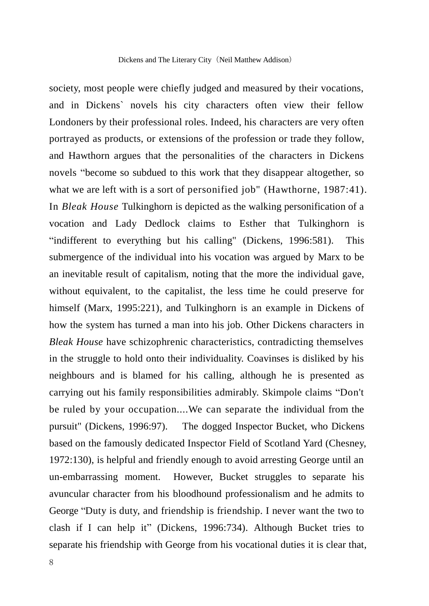society, most people were chiefly judged and measured by their vocations, and in Dickens` novels his city characters often view their fellow Londoners by their professional roles. Indeed, his characters are very often portrayed as products, or extensions of the profession or trade they follow, and Hawthorn argues that the personalities of the characters in Dickens novels "become so subdued to this work that they disappear altogether, so what we are left with is a sort of personified job" (Hawthorne, 1987:41). In *Bleak House* Tulkinghorn is depicted as the walking personification of a vocation and Lady Dedlock claims to Esther that Tulkinghorn is "indifferent to everything but his calling" (Dickens, 1996:581). This submergence of the individual into his vocation was argued by Marx to be an inevitable result of capitalism, noting that the more the individual gave, without equivalent, to the capitalist, the less time he could preserve for himself (Marx, 1995:221), and Tulkinghorn is an example in Dickens of how the system has turned a man into his job. Other Dickens characters in *Bleak House* have schizophrenic characteristics, contradicting themselves in the struggle to hold onto their individuality. Coavinses is disliked by his neighbours and is blamed for his calling, although he is presented as carrying out his family responsibilities admirably. Skimpole claims "Don't be ruled by your occupation....We can separate the individual from the pursuit" (Dickens, 1996:97). The dogged Inspector Bucket, who Dickens based on the famously dedicated Inspector Field of Scotland Yard (Chesney, 1972:130), is helpful and friendly enough to avoid arresting George until an un-embarrassing moment. However, Bucket struggles to separate his avuncular character from his bloodhound professionalism and he admits to George "Duty is duty, and friendship is friendship. I never want the two to clash if I can help it" (Dickens, 1996:734). Although Bucket tries to separate his friendship with George from his vocational duties it is clear that,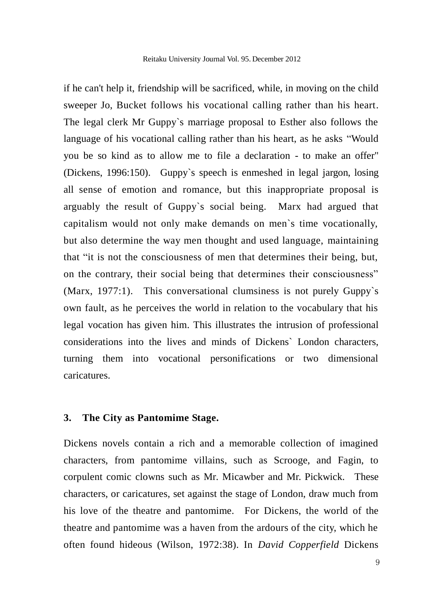if he can't help it, friendship will be sacrificed, while, in moving on the child sweeper Jo, Bucket follows his vocational calling rather than his heart. The legal clerk Mr Guppy`s marriage proposal to Esther also follows the language of his vocational calling rather than his heart, as he asks "Would you be so kind as to allow me to file a declaration - to make an offer" (Dickens, 1996:150). Guppy`s speech is enmeshed in legal jargon, losing all sense of emotion and romance, but this inappropriate proposal is arguably the result of Guppy`s social being. Marx had argued that capitalism would not only make demands on men`s time vocationally, but also determine the way men thought and used language, maintaining that "it is not the consciousness of men that determines their being, but, on the contrary, their social being that determines their consciousness" (Marx, 1977:1). This conversational clumsiness is not purely Guppy`s own fault, as he perceives the world in relation to the vocabulary that his legal vocation has given him. This illustrates the intrusion of professional considerations into the lives and minds of Dickens` London characters, turning them into vocational personifications or two dimensional caricatures.

#### **3. The City as Pantomime Stage.**

Dickens novels contain a rich and a memorable collection of imagined characters, from pantomime villains, such as Scrooge, and Fagin, to corpulent comic clowns such as Mr. Micawber and Mr. Pickwick. These characters, or caricatures, set against the stage of London, draw much from his love of the theatre and pantomime. For Dickens, the world of the theatre and pantomime was a haven from the ardours of the city, which he often found hideous (Wilson, 1972:38). In *David Copperfield* Dickens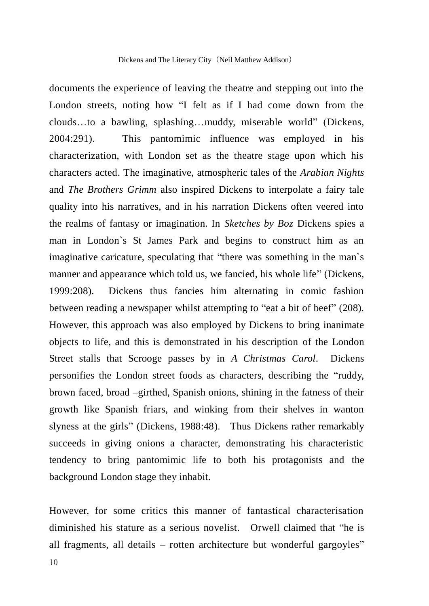documents the experience of leaving the theatre and stepping out into the London streets, noting how "I felt as if I had come down from the clouds…to a bawling, splashing…muddy, miserable world" (Dickens, 2004:291). This pantomimic influence was employed in his characterization, with London set as the theatre stage upon which his characters acted. The imaginative, atmospheric tales of the *Arabian Nights*  and *The Brothers Grimm* also inspired Dickens to interpolate a fairy tale quality into his narratives, and in his narration Dickens often veered into the realms of fantasy or imagination. In *Sketches by Boz* Dickens spies a man in London`s St James Park and begins to construct him as an imaginative caricature, speculating that "there was something in the man`s manner and appearance which told us, we fancied, his whole life" (Dickens, 1999:208). Dickens thus fancies him alternating in comic fashion between reading a newspaper whilst attempting to "eat a bit of beef" (208). However, this approach was also employed by Dickens to bring inanimate objects to life, and this is demonstrated in his description of the London Street stalls that Scrooge passes by in *A Christmas Carol*. Dickens personifies the London street foods as characters, describing the "ruddy, brown faced, broad –girthed, Spanish onions, shining in the fatness of their growth like Spanish friars, and winking from their shelves in wanton slyness at the girls" (Dickens, 1988:48). Thus Dickens rather remarkably succeeds in giving onions a character, demonstrating his characteristic tendency to bring pantomimic life to both his protagonists and the background London stage they inhabit.

However, for some critics this manner of fantastical characterisation diminished his stature as a serious novelist. Orwell claimed that "he is all fragments, all details – rotten architecture but wonderful gargoyles"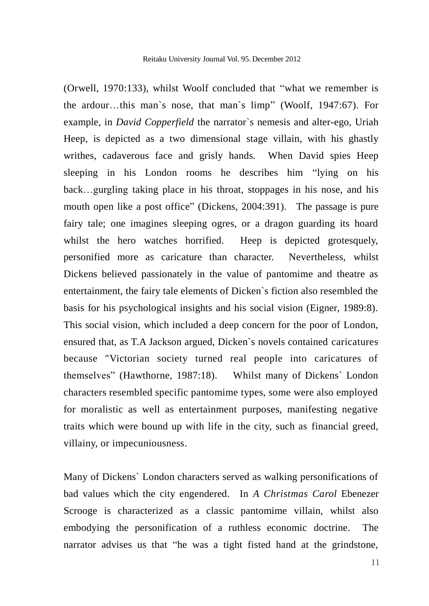(Orwell, 1970:133), whilst Woolf concluded that "what we remember is the ardour…this man`s nose, that man`s limp" (Woolf, 1947:67). For example, in *David Copperfield* the narrator`s nemesis and alter-ego, Uriah Heep, is depicted as a two dimensional stage villain, with his ghastly writhes, cadaverous face and grisly hands. When David spies Heep sleeping in his London rooms he describes him "lying on his back…gurgling taking place in his throat, stoppages in his nose, and his mouth open like a post office" (Dickens, 2004:391). The passage is pure fairy tale; one imagines sleeping ogres, or a dragon guarding its hoard whilst the hero watches horrified. Heep is depicted grotesquely, personified more as caricature than character. Nevertheless, whilst Dickens believed passionately in the value of pantomime and theatre as entertainment, the fairy tale elements of Dicken`s fiction also resembled the basis for his psychological insights and his social vision (Eigner, 1989:8). This social vision, which included a deep concern for the poor of London, ensured that, as T.A Jackson argued, Dicken`s novels contained caricatures because "Victorian society turned real people into caricatures of themselves" (Hawthorne, 1987:18). Whilst many of Dickens` London characters resembled specific pantomime types, some were also employed for moralistic as well as entertainment purposes, manifesting negative traits which were bound up with life in the city, such as financial greed, villainy, or impecuniousness.

Many of Dickens` London characters served as walking personifications of bad values which the city engendered. In *A Christmas Carol* Ebenezer Scrooge is characterized as a classic pantomime villain, whilst also embodying the personification of a ruthless economic doctrine. The narrator advises us that "he was a tight fisted hand at the grindstone,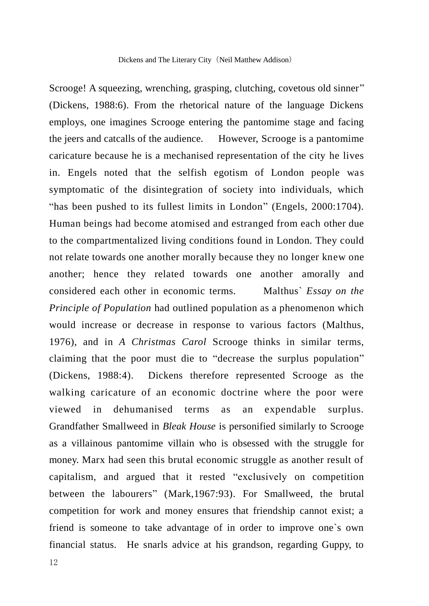Scrooge! A squeezing, wrenching, grasping, clutching, covetous old sinner" (Dickens, 1988:6). From the rhetorical nature of the language Dickens employs, one imagines Scrooge entering the pantomime stage and facing the jeers and catcalls of the audience. However, Scrooge is a pantomime caricature because he is a mechanised representation of the city he lives in. Engels noted that the selfish egotism of London people was symptomatic of the disintegration of society into individuals, which "has been pushed to its fullest limits in London" (Engels, 2000:1704). Human beings had become atomised and estranged from each other due to the compartmentalized living conditions found in London. They could not relate towards one another morally because they no longer knew one another; hence they related towards one another amorally and considered each other in economic terms. Malthus` *Essay on the Principle of Population* had outlined population as a phenomenon which would increase or decrease in response to various factors (Malthus, 1976), and in *A Christmas Carol* Scrooge thinks in similar terms, claiming that the poor must die to "decrease the surplus population" (Dickens, 1988:4). Dickens therefore represented Scrooge as the walking caricature of an economic doctrine where the poor were viewed in dehumanised terms as an expendable surplus. Grandfather Smallweed in *Bleak House* is personified similarly to Scrooge as a villainous pantomime villain who is obsessed with the struggle for money. Marx had seen this brutal economic struggle as another result of capitalism, and argued that it rested "exclusively on competition between the labourers" (Mark,1967:93). For Smallweed, the brutal competition for work and money ensures that friendship cannot exist; a friend is someone to take advantage of in order to improve one`s own financial status. He snarls advice at his grandson, regarding Guppy, to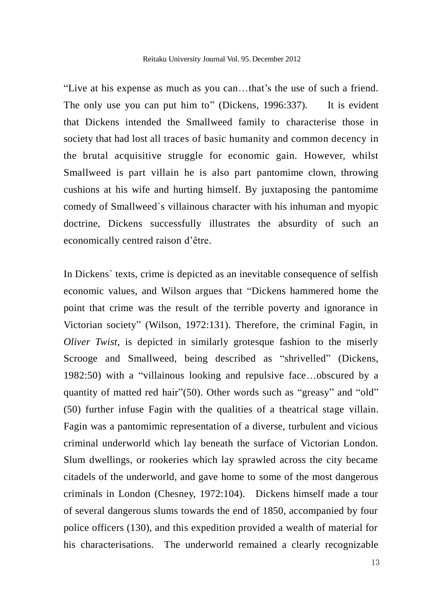"Live at his expense as much as you can…that's the use of such a friend. The only use you can put him to" (Dickens, 1996:337). It is evident that Dickens intended the Smallweed family to characterise those in society that had lost all traces of basic humanity and common decency in the brutal acquisitive struggle for economic gain. However, whilst Smallweed is part villain he is also part pantomime clown, throwing cushions at his wife and hurting himself. By juxtaposing the pantomime comedy of Smallweed`s villainous character with his inhuman and myopic doctrine, Dickens successfully illustrates the absurdity of such an economically centred raison d'être.

In Dickens` texts, crime is depicted as an inevitable consequence of selfish economic values, and Wilson argues that "Dickens hammered home the point that crime was the result of the terrible poverty and ignorance in Victorian society" (Wilson, 1972:131). Therefore, the criminal Fagin, in *Oliver Twist*, is depicted in similarly grotesque fashion to the miserly Scrooge and Smallweed, being described as "shrivelled" (Dickens, 1982:50) with a "villainous looking and repulsive face…obscured by a quantity of matted red hair"(50). Other words such as "greasy" and "old" (50) further infuse Fagin with the qualities of a theatrical stage villain. Fagin was a pantomimic representation of a diverse, turbulent and vicious criminal underworld which lay beneath the surface of Victorian London. Slum dwellings, or rookeries which lay sprawled across the city became citadels of the underworld, and gave home to some of the most dangerous criminals in London (Chesney, 1972:104). Dickens himself made a tour of several dangerous slums towards the end of 1850, accompanied by four police officers (130), and this expedition provided a wealth of material for his characterisations. The underworld remained a clearly recognizable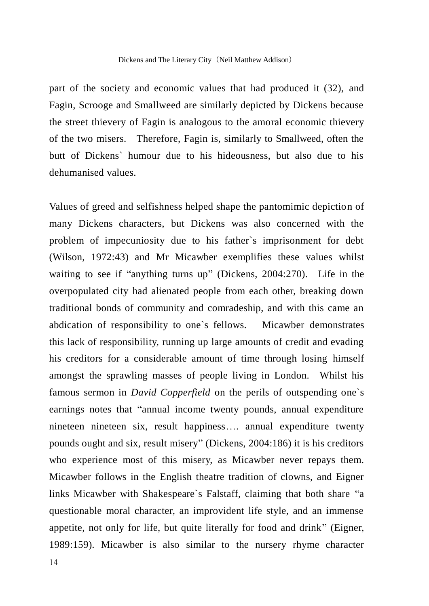part of the society and economic values that had produced it (32), and Fagin, Scrooge and Smallweed are similarly depicted by Dickens because the street thievery of Fagin is analogous to the amoral economic thievery of the two misers. Therefore, Fagin is, similarly to Smallweed, often the butt of Dickens` humour due to his hideousness, but also due to his dehumanised values.

Values of greed and selfishness helped shape the pantomimic depiction of many Dickens characters, but Dickens was also concerned with the problem of impecuniosity due to his father`s imprisonment for debt (Wilson, 1972:43) and Mr Micawber exemplifies these values whilst waiting to see if "anything turns up" (Dickens, 2004:270). Life in the overpopulated city had alienated people from each other, breaking down traditional bonds of community and comradeship, and with this came an abdication of responsibility to one`s fellows. Micawber demonstrates this lack of responsibility, running up large amounts of credit and evading his creditors for a considerable amount of time through losing himself amongst the sprawling masses of people living in London. Whilst his famous sermon in *David Copperfield* on the perils of outspending one`s earnings notes that "annual income twenty pounds, annual expenditure nineteen nineteen six, result happiness…. annual expenditure twenty pounds ought and six, result misery" (Dickens, 2004:186) it is his creditors who experience most of this misery, as Micawber never repays them. Micawber follows in the English theatre tradition of clowns, and Eigner links Micawber with Shakespeare`s Falstaff, claiming that both share "a questionable moral character, an improvident life style, and an immense appetite, not only for life, but quite literally for food and drink" (Eigner, 1989:159). Micawber is also similar to the nursery rhyme character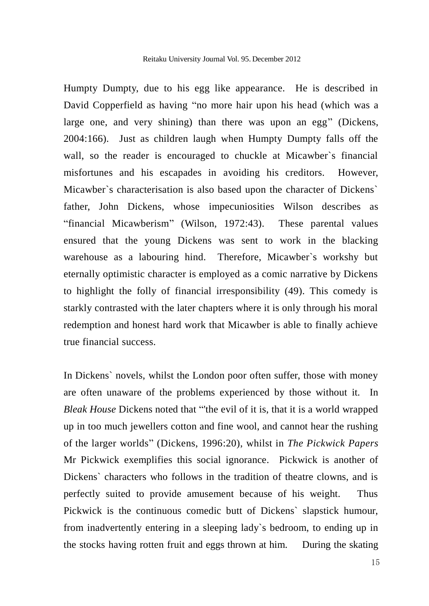Humpty Dumpty, due to his egg like appearance. He is described in David Copperfield as having "no more hair upon his head (which was a large one, and very shining) than there was upon an egg" (Dickens, 2004:166). Just as children laugh when Humpty Dumpty falls off the wall, so the reader is encouraged to chuckle at Micawber`s financial misfortunes and his escapades in avoiding his creditors. However, Micawber`s characterisation is also based upon the character of Dickens` father, John Dickens, whose impecuniosities Wilson describes as "financial Micawberism" (Wilson, 1972:43). These parental values ensured that the young Dickens was sent to work in the blacking warehouse as a labouring hind. Therefore, Micawber`s workshy but eternally optimistic character is employed as a comic narrative by Dickens to highlight the folly of financial irresponsibility (49). This comedy is starkly contrasted with the later chapters where it is only through his moral redemption and honest hard work that Micawber is able to finally achieve true financial success.

In Dickens` novels, whilst the London poor often suffer, those with money are often unaware of the problems experienced by those without it. In *Bleak House* Dickens noted that "'the evil of it is, that it is a world wrapped up in too much jewellers cotton and fine wool, and cannot hear the rushing of the larger worlds" (Dickens, 1996:20), whilst in *The Pickwick Papers* Mr Pickwick exemplifies this social ignorance. Pickwick is another of Dickens` characters who follows in the tradition of theatre clowns, and is perfectly suited to provide amusement because of his weight. Thus Pickwick is the continuous comedic butt of Dickens` slapstick humour, from inadvertently entering in a sleeping lady`s bedroom, to ending up in the stocks having rotten fruit and eggs thrown at him. During the skating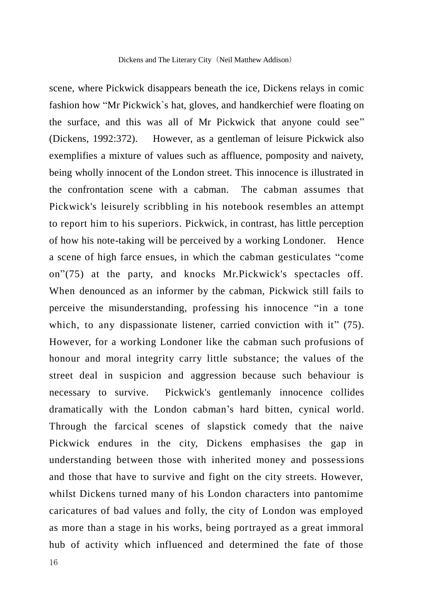scene, where Pickwick disappears beneath the ice, Dickens relays in comic fashion how "Mr Pickwick`s hat, gloves, and handkerchief were floating on the surface, and this was all of Mr Pickwick that anyone could see" (Dickens, 1992:372). However, as a gentleman of leisure Pickwick also exemplifies a mixture of values such as affluence, pomposity and naivety, being wholly innocent of the London street. This innocence is illustrated in the confrontation scene with a cabman. The cabman assumes that Pickwick's leisurely scribbling in his notebook resembles an attempt to report him to his superiors. Pickwick, in contrast, has little perception of how his note-taking will be perceived by a working Londoner. Hence a scene of high farce ensues, in which the cabman gesticulates "come on"(75) at the party, and knocks Mr.Pickwick's spectacles off. When denounced as an informer by the cabman, Pickwick still fails to perceive the misunderstanding, professing his innocence "in a tone which, to any dispassionate listener, carried conviction with it" (75). However, for a working Londoner like the cabman such profusions of honour and moral integrity carry little substance; the values of the street deal in suspicion and aggression because such behaviour is necessary to survive. Pickwick's gentlemanly innocence collides dramatically with the London cabman's hard bitten, cynical world. Through the farcical scenes of slapstick comedy that the naive Pickwick endures in the city, Dickens emphasises the gap in understanding between those with inherited money and possessions and those that have to survive and fight on the city streets. However, whilst Dickens turned many of his London characters into pantomime caricatures of bad values and folly, the city of London was employed as more than a stage in his works, being portrayed as a great immoral hub of activity which influenced and determined the fate of those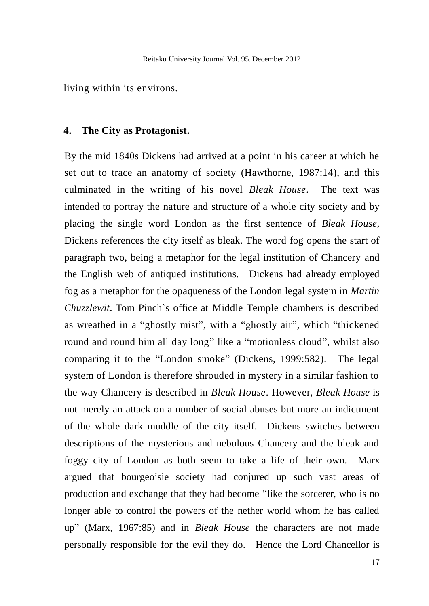living within its environs.

#### **4. The City as Protagonist.**

By the mid 1840s Dickens had arrived at a point in his career at which he set out to trace an anatomy of society (Hawthorne, 1987:14), and this culminated in the writing of his novel *Bleak House*. The text was intended to portray the nature and structure of a whole city society and by placing the single word London as the first sentence of *Bleak House,*  Dickens references the city itself as bleak. The word fog opens the start of paragraph two, being a metaphor for the legal institution of Chancery and the English web of antiqued institutions. Dickens had already employed fog as a metaphor for the opaqueness of the London legal system in *Martin Chuzzlewit*. Tom Pinch`s office at Middle Temple chambers is described as wreathed in a "ghostly mist", with a "ghostly air", which "thickened round and round him all day long" like a "motionless cloud", whilst also comparing it to the "London smoke" (Dickens, 1999:582). The legal system of London is therefore shrouded in mystery in a similar fashion to the way Chancery is described in *Bleak House*. However, *Bleak House* is not merely an attack on a number of social abuses but more an indictment of the whole dark muddle of the city itself. Dickens switches between descriptions of the mysterious and nebulous Chancery and the bleak and foggy city of London as both seem to take a life of their own. Marx argued that bourgeoisie society had conjured up such vast areas of production and exchange that they had become "like the sorcerer, who is no longer able to control the powers of the nether world whom he has called up" (Marx, 1967:85) and in *Bleak House* the characters are not made personally responsible for the evil they do. Hence the Lord Chancellor is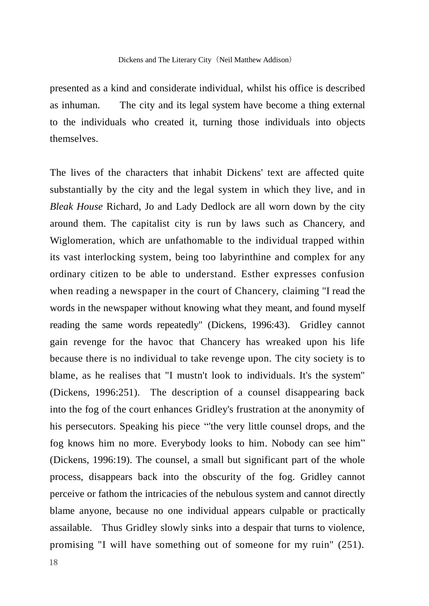presented as a kind and considerate individual, whilst his office is described as inhuman. The city and its legal system have become a thing external to the individuals who created it, turning those individuals into objects themselves.

The lives of the characters that inhabit Dickens' text are affected quite substantially by the city and the legal system in which they live, and in *Bleak House* Richard, Jo and Lady Dedlock are all worn down by the city around them. The capitalist city is run by laws such as Chancery, and Wiglomeration, which are unfathomable to the individual trapped within its vast interlocking system, being too labyrinthine and complex for any ordinary citizen to be able to understand. Esther expresses confusion when reading a newspaper in the court of Chancery, claiming "I read the words in the newspaper without knowing what they meant, and found myself reading the same words repeatedly" (Dickens, 1996:43). Gridley cannot gain revenge for the havoc that Chancery has wreaked upon his life because there is no individual to take revenge upon. The city society is to blame, as he realises that "I mustn't look to individuals. It's the system" (Dickens, 1996:251). The description of a counsel disappearing back into the fog of the court enhances Gridley's frustration at the anonymity of his persecutors. Speaking his piece "'the very little counsel drops, and the fog knows him no more. Everybody looks to him. Nobody can see him" (Dickens, 1996:19). The counsel, a small but significant part of the whole process, disappears back into the obscurity of the fog. Gridley cannot perceive or fathom the intricacies of the nebulous system and cannot directly blame anyone, because no one individual appears culpable or practically assailable. Thus Gridley slowly sinks into a despair that turns to violence, promising "I will have something out of someone for my ruin" (251).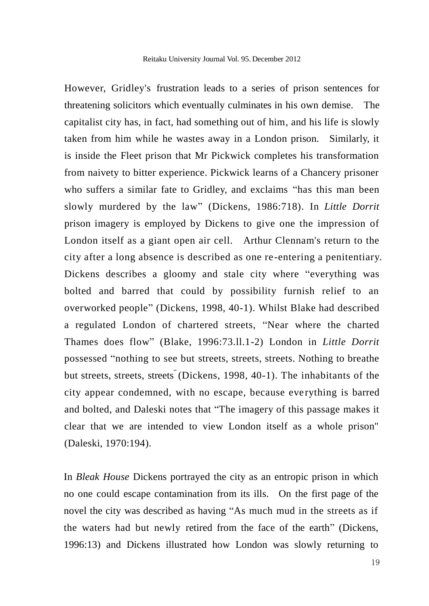However, Gridley's frustration leads to a series of prison sentences for threatening solicitors which eventually culminates in his own demise. The capitalist city has, in fact, had something out of him, and his life is slowly taken from him while he wastes away in a London prison. Similarly, it is inside the Fleet prison that Mr Pickwick completes his transformation from naivety to bitter experience. Pickwick learns of a Chancery prisoner who suffers a similar fate to Gridley, and exclaims "has this man been slowly murdered by the law" (Dickens, 1986:718). In *Little Dorrit*  prison imagery is employed by Dickens to give one the impression of London itself as a giant open air cell. Arthur Clennam's return to the city after a long absence is described as one re-entering a penitentiary. Dickens describes a gloomy and stale city where "everything was bolted and barred that could by possibility furnish relief to an overworked people" (Dickens, 1998, 40-1). Whilst Blake had described a regulated London of chartered streets, "Near where the charted Thames does flow" (Blake, 1996:73.ll.1-2) London in *Little Dorrit* possessed "nothing to see but streets, streets, streets. Nothing to breathe but streets, streets, streets" (Dickens, 1998, 40-1). The inhabitants of the city appear condemned, with no escape, because eve rything is barred and bolted, and Daleski notes that "The imagery of this passage makes it clear that we are intended to view London itself as a whole prison" (Daleski, 1970:194).

In *Bleak House* Dickens portrayed the city as an entropic prison in which no one could escape contamination from its ills. On the first page of the novel the city was described as having "As much mud in the streets as if the waters had but newly retired from the face of the earth" (Dickens, 1996:13) and Dickens illustrated how London was slowly returning to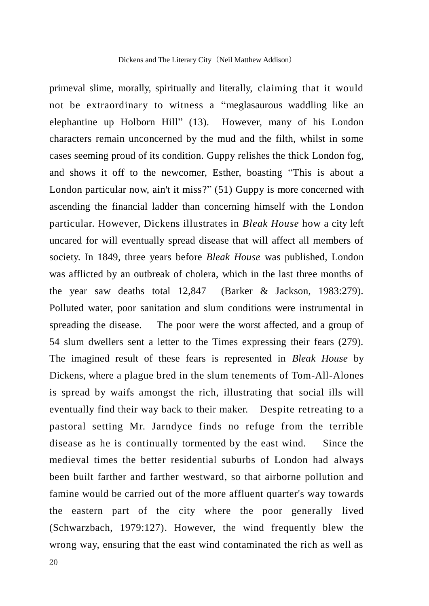primeval slime, morally, spiritually and literally, claiming that it would not be extraordinary to witness a "meglasaurous waddling like an elephantine up Holborn Hill" (13). However, many of his London characters remain unconcerned by the mud and the filth, whilst in some cases seeming proud of its condition. Guppy relishes the thick London fog, and shows it off to the newcomer, Esther, boasting "This is about a London particular now, ain't it miss?" (51) Guppy is more concerned with ascending the financial ladder than concerning himself with the London particular. However, Dickens illustrates in *Bleak House* how a city left uncared for will eventually spread disease that will affect all members of society. In 1849, three years before *Bleak House* was published, London was afflicted by an outbreak of cholera, which in the last three months of the year saw deaths total 12,847 (Barker & Jackson, 1983:279). Polluted water, poor sanitation and slum conditions were instrumental in spreading the disease. The poor were the worst affected, and a group of 54 slum dwellers sent a letter to the Times expressing their fears (279). The imagined result of these fears is represented in *Bleak House* by Dickens, where a plague bred in the slum tenements of Tom-All-Alones is spread by waifs amongst the rich, illustrating that social ills will eventually find their way back to their maker. Despite retreating to a pastoral setting Mr. Jarndyce finds no refuge from the terrible disease as he is continually tormented by the east wind. Since the medieval times the better residential suburbs of London had always been built farther and farther westward, so that airborne pollution and famine would be carried out of the more affluent quarter's way towards the eastern part of the city where the poor generally lived (Schwarzbach, 1979:127). However, the wind frequently blew the wrong way, ensuring that the east wind contaminated the rich as well as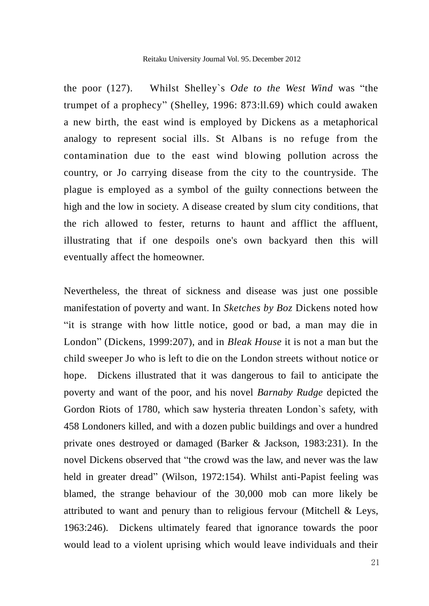the poor (127). Whilst Shelley`s *Ode to the West Wind* was "the trumpet of a prophecy" (Shelley, 1996: 873:ll.69) which could awaken a new birth, the east wind is employed by Dickens as a metaphorical analogy to represent social ills. St Albans is no refuge from the contamination due to the east wind blowing pollution across the country, or Jo carrying disease from the city to the countryside. The plague is employed as a symbol of the guilty connections between the high and the low in society. A disease created by slum city conditions, that the rich allowed to fester, returns to haunt and afflict the affluent, illustrating that if one despoils one's own backyard then this will eventually affect the homeowner.

Nevertheless, the threat of sickness and disease was just one possible manifestation of poverty and want. In *Sketches by Boz* Dickens noted how "it is strange with how little notice, good or bad, a man may die in London" (Dickens, 1999:207), and in *Bleak House* it is not a man but the child sweeper Jo who is left to die on the London streets without notice or hope. Dickens illustrated that it was dangerous to fail to anticipate the poverty and want of the poor, and his novel *Barnaby Rudge* depicted the Gordon Riots of 1780, which saw hysteria threaten London`s safety, with 458 Londoners killed, and with a dozen public buildings and over a hundred private ones destroyed or damaged (Barker & Jackson, 1983:231). In the novel Dickens observed that "the crowd was the law, and never was the law held in greater dread" (Wilson, 1972:154). Whilst anti-Papist feeling was blamed, the strange behaviour of the 30,000 mob can more likely be attributed to want and penury than to religious fervour (Mitchell & Leys, 1963:246). Dickens ultimately feared that ignorance towards the poor would lead to a violent uprising which would leave individuals and their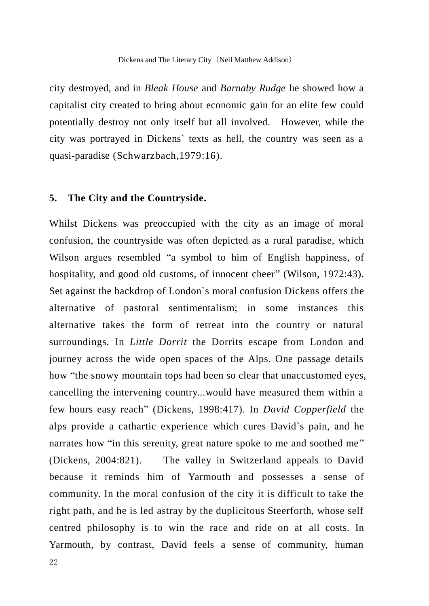city destroyed, and in *Bleak House* and *Barnaby Rudge* he showed how a capitalist city created to bring about economic gain for an elite few could potentially destroy not only itself but all involved. However, while the city was portrayed in Dickens` texts as hell, the country was seen as a quasi-paradise (Schwarzbach,1979:16).

#### **5. The City and the Countryside.**

Whilst Dickens was preoccupied with the city as an image of moral confusion, the countryside was often depicted as a rural paradise, which Wilson argues resembled "a symbol to him of English happiness, of hospitality, and good old customs, of innocent cheer" (Wilson, 1972:43). Set against the backdrop of London`s moral confusion Dickens offers the alternative of pastoral sentimentalism; in some instances this alternative takes the form of retreat into the country or natural surroundings. In *Little Dorrit* the Dorrits escape from London and journey across the wide open spaces of the Alps. One passage details how "the snowy mountain tops had been so clear that unaccustomed eyes, cancelling the intervening country...would have measured them within a few hours easy reach" (Dickens, 1998:417). In *David Copperfield* the alps provide a cathartic experience which cures David`s pain, and he narrates how "in this serenity, great nature spoke to me and soothed me" (Dickens, 2004:821). The valley in Switzerland appeals to David because it reminds him of Yarmouth and possesses a sense of community. In the moral confusion of the city it is difficult to take the right path, and he is led astray by the duplicitous Steerforth, whose self centred philosophy is to win the race and ride on at all costs. In Yarmouth, by contrast, David feels a sense of community, human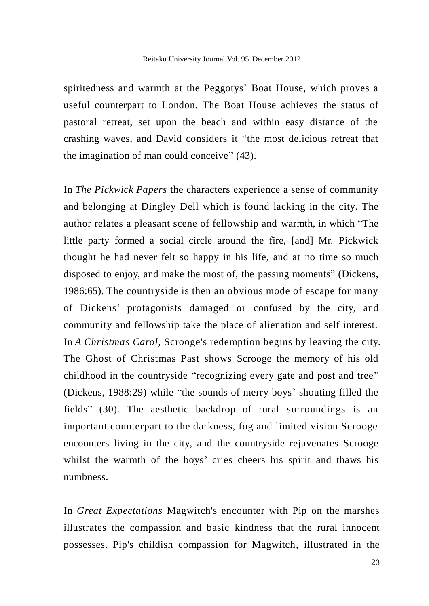spiritedness and warmth at the Peggotys` Boat House, which proves a useful counterpart to London. The Boat House achieves the status of pastoral retreat, set upon the beach and within easy distance of the crashing waves, and David considers it "the most delicious retreat that the imagination of man could conceive" (43).

In *The Pickwick Papers* the characters experience a sense of community and belonging at Dingley Dell which is found lacking in the city. The author relates a pleasant scene of fellowship and warmth, in which "The little party formed a social circle around the fire, [and] Mr. Pickwick thought he had never felt so happy in his life, and at no time so much disposed to enjoy, and make the most of, the passing moments" (Dickens, 1986:65). The countryside is then an obvious mode of escape for many of Dickens' protagonists damaged or confused by the city, and community and fellowship take the place of alienation and self interest. In *A Christmas Carol,* Scrooge's redemption begins by leaving the city. The Ghost of Christmas Past shows Scrooge the memory of his old childhood in the countryside "recognizing every gate and post and tree" (Dickens, 1988:29) while "the sounds of merry boys` shouting filled the fields" (30). The aesthetic backdrop of rural surroundings is an important counterpart to the darkness, fog and limited vision Scrooge encounters living in the city, and the countryside rejuvenates Scrooge whilst the warmth of the boys' cries cheers his spirit and thaws his numbness.

In *Great Expectations* Magwitch's encounter with Pip on the marshes illustrates the compassion and basic kindness that the rural innocent possesses. Pip's childish compassion for Magwitch, illustrated in the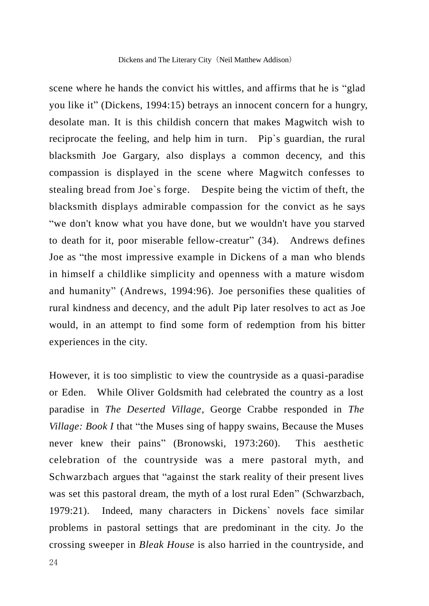scene where he hands the convict his wittles, and affirms that he is "glad you like it" (Dickens, 1994:15) betrays an innocent concern for a hungry, desolate man. It is this childish concern that makes Magwitch wish to reciprocate the feeling, and help him in turn. Pip`s guardian, the rural blacksmith Joe Gargary, also displays a common decency, and this compassion is displayed in the scene where Magwitch confesses to stealing bread from Joe`s forge. Despite being the victim of theft, the blacksmith displays admirable compassion for the convict as he says "we don't know what you have done, but we wouldn't have you starved to death for it, poor miserable fellow-creatur" (34). Andrews defines Joe as "the most impressive example in Dickens of a man who blends in himself a childlike simplicity and openness with a mature wisdom and humanity" (Andrews, 1994:96). Joe personifies these qualities of rural kindness and decency, and the adult Pip later resolves to act as Joe would, in an attempt to find some form of redemption from his bitter experiences in the city.

However, it is too simplistic to view the countryside as a quasi-paradise or Eden. While Oliver Goldsmith had celebrated the country as a lost paradise in *The Deserted Village*, George Crabbe responded in *The Village: Book I* that "the Muses sing of happy swains, Because the Muses never knew their pains" (Bronowski, 1973:260). This aesthetic celebration of the countryside was a mere pastoral myth, and Schwarzbach argues that "against the stark reality of their present lives was set this pastoral dream, the myth of a lost rural Eden" (Schwarzbach, 1979:21). Indeed, many characters in Dickens` novels face similar problems in pastoral settings that are predominant in the city. Jo the crossing sweeper in *Bleak House* is also harried in the countryside, and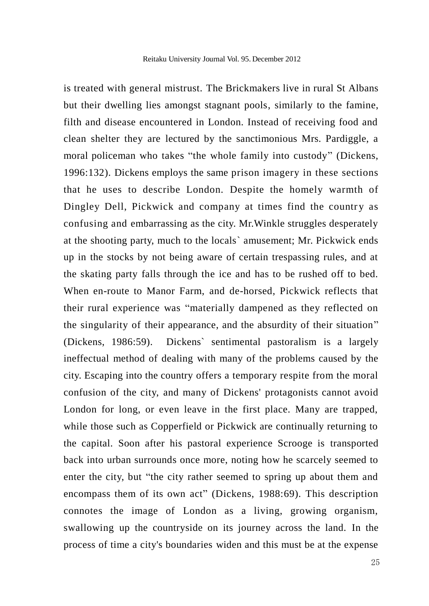is treated with general mistrust. The Brickmakers live in rural St Albans but their dwelling lies amongst stagnant pools, similarly to the famine, filth and disease encountered in London. Instead of receiving food and clean shelter they are lectured by the sanctimonious Mrs. Pardiggle, a moral policeman who takes "the whole family into custody" (Dickens, 1996:132). Dickens employs the same prison imagery in these sections that he uses to describe London*.* Despite the homely warmth of Dingley Dell, Pickwick and company at times find the country as confusing and embarrassing as the city. Mr.Winkle struggles desperately at the shooting party, much to the locals` amusement; Mr. Pickwick ends up in the stocks by not being aware of certain trespassing rules, and at the skating party falls through the ice and has to be rushed off to bed. When en-route to Manor Farm, and de-horsed, Pickwick reflects that their rural experience was "materially dampened as they reflected on the singularity of their appearance, and the absurdity of their situation" (Dickens, 1986:59). Dickens` sentimental pastoralism is a largely ineffectual method of dealing with many of the problems caused by the city. Escaping into the country offers a temporary respite from the moral confusion of the city, and many of Dickens' protagonists cannot avoid London for long, or even leave in the first place. Many are trapped, while those such as Copperfield or Pickwick are continually returning to the capital. Soon after his pastoral experience Scrooge is transported back into urban surrounds once more, noting how he scarcely seemed to enter the city, but "the city rather seemed to spring up about them and encompass them of its own act" (Dickens, 1988:69). This description connotes the image of London as a living, growing organism, swallowing up the countryside on its journey across the land. In the process of time a city's boundaries widen and this must be at the expense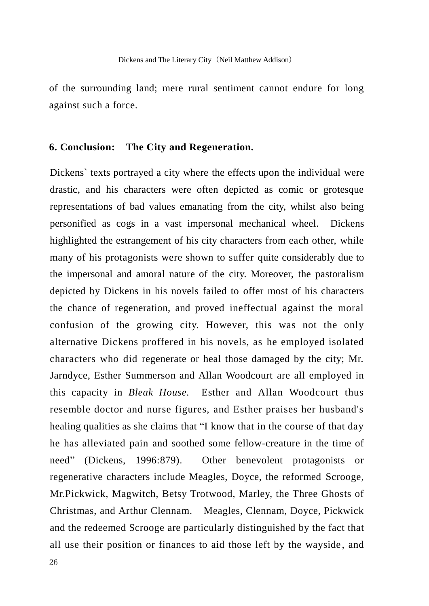of the surrounding land; mere rural sentiment cannot endure for long against such a force.

## **6. Conclusion: The City and Regeneration.**

Dickens` texts portrayed a city where the effects upon the individual were drastic, and his characters were often depicted as comic or grotesque representations of bad values emanating from the city, whilst also being personified as cogs in a vast impersonal mechanical wheel. Dickens highlighted the estrangement of his city characters from each other, while many of his protagonists were shown to suffer quite considerably due to the impersonal and amoral nature of the city. Moreover, the pastoralism depicted by Dickens in his novels failed to offer most of his characters the chance of regeneration, and proved ineffectual against the moral confusion of the growing city. However, this was not the only alternative Dickens proffered in his novels, as he employed isolated characters who did regenerate or heal those damaged by the city; Mr. Jarndyce, Esther Summerson and Allan Woodcourt are all employed in this capacity in *Bleak House.* Esther and Allan Woodcourt thus resemble doctor and nurse figures, and Esther praises her husband's healing qualities as she claims that "I know that in the course of that day he has alleviated pain and soothed some fellow-creature in the time of need" (Dickens, 1996:879). Other benevolent protagonists or regenerative characters include Meagles, Doyce, the reformed Scrooge, Mr.Pickwick, Magwitch, Betsy Trotwood, Marley, the Three Ghosts of Christmas, and Arthur Clennam. Meagles, Clennam, Doyce, Pickwick and the redeemed Scrooge are particularly distinguished by the fact that all use their position or finances to aid those left by the wayside , and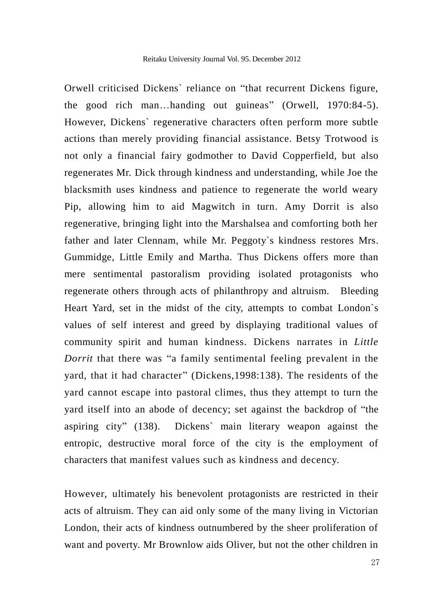Orwell criticised Dickens` reliance on "that recurrent Dickens figure, the good rich man…handing out guineas" (Orwell, 1970:84-5). However, Dickens` regenerative characters often perform more subtle actions than merely providing financial assistance. Betsy Trotwood is not only a financial fairy godmother to David Copperfield, but also regenerates Mr. Dick through kindness and understanding, while Joe the blacksmith uses kindness and patience to regenerate the world weary Pip, allowing him to aid Magwitch in turn. Amy Dorrit is also regenerative, bringing light into the Marshalsea and comforting both her father and later Clennam, while Mr. Peggoty`s kindness restores Mrs. Gummidge, Little Emily and Martha. Thus Dickens offers more than mere sentimental pastoralism providing isolated protagonists who regenerate others through acts of philanthropy and altruism. Bleeding Heart Yard, set in the midst of the city, attempts to combat London`s values of self interest and greed by displaying traditional values of community spirit and human kindness. Dickens narrates in *Little Dorrit* that there was "a family sentimental feeling prevalent in the yard, that it had character" (Dickens,1998:138). The residents of the yard cannot escape into pastoral climes, thus they attempt to turn the yard itself into an abode of decency; set against the backdrop of "the aspiring city" (138). Dickens` main literary weapon against the entropic, destructive moral force of the city is the employment of characters that manifest values such as kindness and decency.

However, ultimately his benevolent protagonists are restricted in their acts of altruism. They can aid only some of the many living in Victorian London, their acts of kindness outnumbered by the sheer proliferation of want and poverty. Mr Brownlow aids Oliver, but not the other children in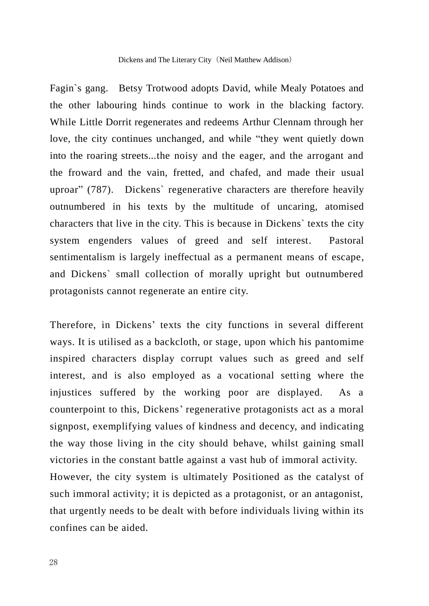Fagin`s gang. Betsy Trotwood adopts David, while Mealy Potatoes and the other labouring hinds continue to work in the blacking factory. While Little Dorrit regenerates and redeems Arthur Clennam through her love, the city continues unchanged, and while "they went quietly down into the roaring streets...the noisy and the eager, and the arrogant and the froward and the vain, fretted, and chafed, and made their usual uproar" (787). Dickens` regenerative characters are therefore heavily outnumbered in his texts by the multitude of uncaring, atomised characters that live in the city. This is because in Dickens` texts the city system engenders values of greed and self interest. Pastoral sentimentalism is largely ineffectual as a permanent means of escape, and Dickens` small collection of morally upright but outnumbered protagonists cannot regenerate an entire city.

Therefore, in Dickens' texts the city functions in several different ways. It is utilised as a backcloth, or stage, upon which his pantomime inspired characters display corrupt values such as greed and self interest, and is also employed as a vocational setting where the injustices suffered by the working poor are displayed. As a counterpoint to this, Dickens' regenerative protagonists act as a moral signpost, exemplifying values of kindness and decency, and indicating the way those living in the city should behave, whilst gaining small victories in the constant battle against a vast hub of immoral activity. However, the city system is ultimately Positioned as the catalyst of such immoral activity; it is depicted as a protagonist, or an antagonist, that urgently needs to be dealt with before individuals living within its confines can be aided.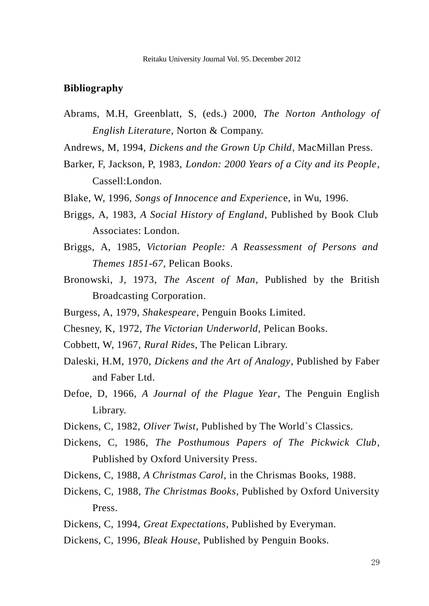#### **Bibliography**

Abrams, M.H, Greenblatt, S, (eds.) 2000, *The Norton Anthology of English Literature*, Norton & Company.

Andrews, M, 1994, *Dickens and the Grown Up Child*, MacMillan Press.

- Barker, F, Jackson, P, 1983, *London: 2000 Years of a City and its People*, Cassell:London.
- Blake, W, 1996, *Songs of Innocence and Experienc*e, in Wu, 1996.
- Briggs, A, 1983, *A Social History of England*, Published by Book Club Associates: London.
- Briggs, A, 1985, *Victorian People: A Reassessment of Persons and Themes 1851-67*, Pelican Books.
- Bronowski, J, 1973, *The Ascent of Man*, Published by the British Broadcasting Corporation.
- Burgess, A, 1979, *Shakespeare*, Penguin Books Limited.
- Chesney, K, 1972, *The Victorian Underworld*, Pelican Books.
- Cobbett, W, 1967, *Rural Ride*s, The Pelican Library.
- Daleski, H.M, 1970, *Dickens and the Art of Analogy*, Published by Faber and Faber Ltd.
- Defoe, D, 1966, *A Journal of the Plague Year*, The Penguin English Library.
- Dickens, C, 1982, *Oliver Twist*, Published by The World`s Classics.
- Dickens, C, 1986, *The Posthumous Papers of The Pickwick Club*, Published by Oxford University Press.
- Dickens, C, 1988, *A Christmas Carol,* in the Chrismas Books, 1988.
- Dickens, C, 1988, *The Christmas Books*, Published by Oxford University Press.
- Dickens, C, 1994, *Great Expectations*, Published by Everyman.
- Dickens, C, 1996, *Bleak House*, Published by Penguin Books.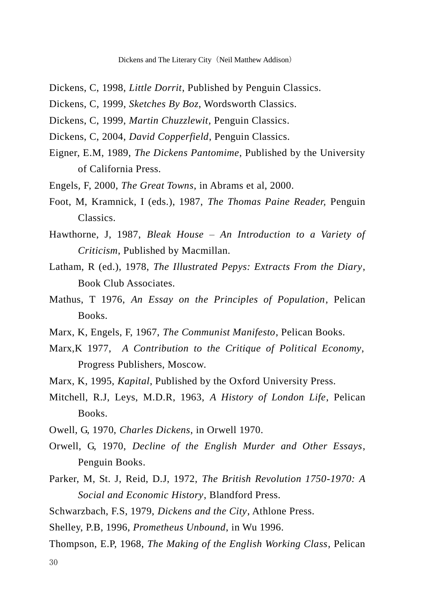- Dickens, C, 1998, *Little Dorrit*, Published by Penguin Classics.
- Dickens, C, 1999, *Sketches By Boz*, Wordsworth Classics.
- Dickens, C, 1999, *Martin Chuzzlewit,* Penguin Classics.
- Dickens, C, 2004, *David Copperfield*, Penguin Classics.
- Eigner, E.M, 1989, *The Dickens Pantomime*, Published by the University of California Press.
- Engels, F, 2000, *The Great Towns*, in Abrams et al, 2000.
- Foot, M, Kramnick, I (eds.), 1987, *The Thomas Paine Reader,* Penguin Classics.
- Hawthorne, J, 1987, *Bleak House – An Introduction to a Variety of Criticism*, Published by Macmillan.
- Latham, R (ed.), 1978, *The Illustrated Pepys: Extracts From the Diary*, Book Club Associates.
- Mathus, T 1976, *An Essay on the Principles of Population*, Pelican Books.
- Marx, K, Engels, F, 1967, *The Communist Manifesto*, Pelican Books.
- Marx,K 1977, *A Contribution to the Critique of Political Economy*, Progress Publishers, Moscow.
- Marx, K, 1995, *Kapital*, Published by the Oxford University Press.
- Mitchell, R.J, Leys, M.D.R, 1963, *A History of London Life*, Pelican Books.
- Owell, G, 1970, *Charles Dickens*, in Orwell 1970.
- Orwell, G, 1970, *Decline of the English Murder and Other Essays*, Penguin Books.
- Parker, M, St. J, Reid, D.J, 1972, *The British Revolution 1750-1970: A Social and Economic History*, Blandford Press.
- Schwarzbach, F.S, 1979, *Dickens and the City*, Athlone Press.
- Shelley, P.B, 1996, *Prometheus Unbound*, in Wu 1996.
- Thompson, E.P, 1968, *The Making of the English Working Class*, Pelican